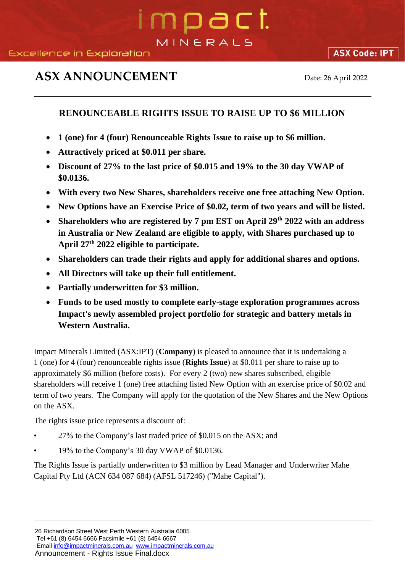## mpact. MINERALS

## **ASX ANNOUNCEMENT** Date: 26 April 2022

## **RENOUNCEABLE RIGHTS ISSUE TO RAISE UP TO \$6 MILLION**

- **1 (one) for 4 (four) Renounceable Rights Issue to raise up to \$6 million.**
- **Attractively priced at \$0.011 per share.**
- **Discount of 27% to the last price of \$0.015 and 19% to the 30 day VWAP of \$0.0136.**
- **With every two New Shares, shareholders receive one free attaching New Option.**
- **New Options have an Exercise Price of \$0.02, term of two years and will be listed.**
- Shareholders who are registered by 7 pm EST on April 29<sup>th</sup> 2022 with an address **in Australia or New Zealand are eligible to apply, with Shares purchased up to April 27th 2022 eligible to participate.**
- **Shareholders can trade their rights and apply for additional shares and options.**
- **All Directors will take up their full entitlement.**
- **Partially underwritten for \$3 million.**
- **Funds to be used mostly to complete early-stage exploration programmes across Impact's newly assembled project portfolio for strategic and battery metals in Western Australia.**

Impact Minerals Limited (ASX:IPT) (**Company**) is pleased to announce that it is undertaking a 1 (one) for 4 (four) renounceable rights issue (**Rights Issue**) at \$0.011 per share to raise up to approximately \$6 million (before costs). For every 2 (two) new shares subscribed, eligible shareholders will receive 1 (one) free attaching listed New Option with an exercise price of \$0.02 and term of two years. The Company will apply for the quotation of the New Shares and the New Options on the ASX.

The rights issue price represents a discount of:

- 27% to the Company's last traded price of \$0.015 on the ASX; and
- 19% to the Company's 30 day VWAP of \$0.0136.

The Rights Issue is partially underwritten to \$3 million by Lead Manager and Underwriter Mahe Capital Pty Ltd (ACN 634 087 684) (AFSL 517246) ("Mahe Capital").

Tel +61 (8) 6454 6666 Facsimile +61 (8) 6454 6667 Emai[l info@impactminerals.com.au](mailto:info@impactminerals.com.au) [www.impactminerals.com.au](http://www.impactminerals.com.au/)

Announcement - Rights Issue Final.docx

<sup>26</sup> Richardson Street West Perth Western Australia 6005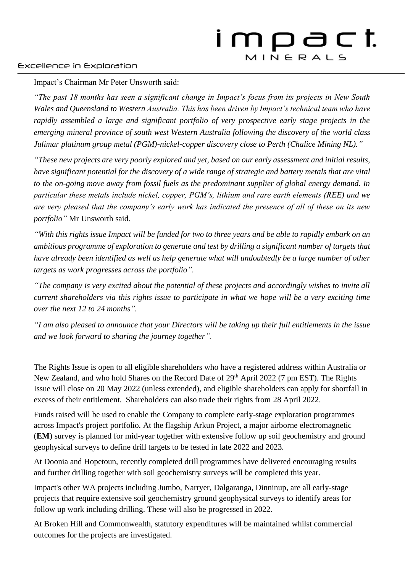## Excellence in Exploration

Impact's Chairman Mr Peter Unsworth said:

*"The past 18 months has seen a significant change in Impact's focus from its projects in New South Wales and Queensland to Western Australia. This has been driven by Impact's technical team who have rapidly assembled a large and significant portfolio of very prospective early stage projects in the emerging mineral province of south west Western Australia following the discovery of the world class Julimar platinum group metal (PGM)-nickel-copper discovery close to Perth (Chalice Mining NL)."*

*"These new projects are very poorly explored and yet, based on our early assessment and initial results, have significant potential for the discovery of a wide range of strategic and battery metals that are vital to the on-going move away from fossil fuels as the predominant supplier of global energy demand. In particular these metals include nickel, copper, PGM's, lithium and rare earth elements (REE) and we are very pleased that the company's early work has indicated the presence of all of these on its new portfolio"* Mr Unsworth said.

*"With this rights issue Impact will be funded for two to three years and be able to rapidly embark on an ambitious programme of exploration to generate and test by drilling a significant number of targets that have already been identified as well as help generate what will undoubtedly be a large number of other targets as work progresses across the portfolio".*

*"The company is very excited about the potential of these projects and accordingly wishes to invite all current shareholders via this rights issue to participate in what we hope will be a very exciting time over the next 12 to 24 months".*

*"I am also pleased to announce that your Directors will be taking up their full entitlements in the issue and we look forward to sharing the journey together".*

The Rights Issue is open to all eligible shareholders who have a registered address within Australia or New Zealand, and who hold Shares on the Record Date of 29<sup>th</sup> April 2022 (7 pm EST). The Rights Issue will close on 20 May 2022 (unless extended), and eligible shareholders can apply for shortfall in excess of their entitlement. Shareholders can also trade their rights from 28 April 2022.

Funds raised will be used to enable the Company to complete early-stage exploration programmes across Impact's project portfolio. At the flagship Arkun Project, a major airborne electromagnetic (**EM**) survey is planned for mid-year together with extensive follow up soil geochemistry and ground geophysical surveys to define drill targets to be tested in late 2022 and 2023.

At Doonia and Hopetoun, recently completed drill programmes have delivered encouraging results and further drilling together with soil geochemistry surveys will be completed this year.

Impact's other WA projects including Jumbo, Narryer, Dalgaranga, Dinninup, are all early-stage projects that require extensive soil geochemistry ground geophysical surveys to identify areas for follow up work including drilling. These will also be progressed in 2022.

At Broken Hill and Commonwealth, statutory expenditures will be maintained whilst commercial outcomes for the projects are investigated.